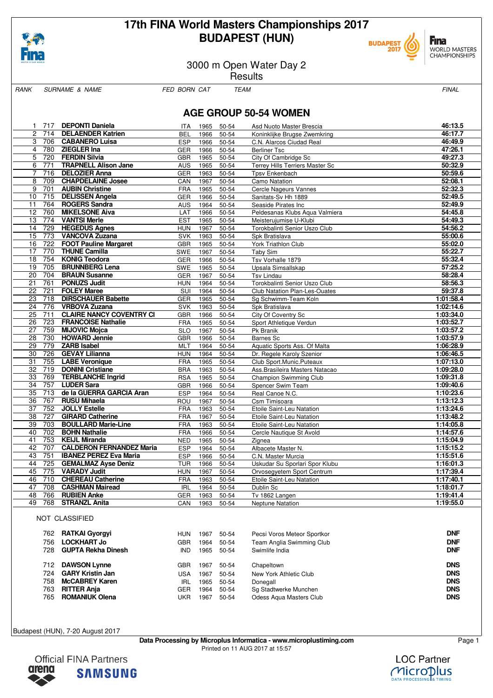

# **17th FINA World Masters Championships 2017 BUDAPEST (HUN)**



3000 m Open Water Day 2

**Results** 

RANK SURNAME & NAME FED BORN CAT TEAM FEAR FINAL

WORLD MASTERS<br>CHAMPIONSHIPS

**F**ina

# **AGE GROUP 50-54 WOMEN**

| 1.              | 717 | <b>DEPONTI Daniela</b>          | ITA.       | 1965 | 50-54     | Asd Nuoto Master Brescia             | 46:13.5   |
|-----------------|-----|---------------------------------|------------|------|-----------|--------------------------------------|-----------|
| $\overline{c}$  | 714 | <b>DELAENDER Katrien</b>        | <b>BEL</b> | 1966 | 50-54     | Koninklijke Brugse Zwemkring         | 46:17.7   |
| 3               | 706 | <b>CABANERO Luisa</b>           | <b>ESP</b> | 1966 | 50-54     | C.N. Alarcos Ciudad Real             | 46:49.9   |
| 4               | 780 | <b>ZIEGLER Ina</b>              | <b>GER</b> | 1966 | 50-54     | <b>Berliner Tsc</b>                  | 47:26.1   |
| 5               | 720 | <b>FERDIN Silvia</b>            | <b>GBR</b> | 1965 | 50-54     | City Of Cambridge Sc                 | 49:27.3   |
| 6               | 771 | <b>TRAPNELL Alison Jane</b>     | <b>AUS</b> | 1965 | 50-54     | Terrey Hills Terriers Master Sc      | 50:32.9   |
| $\overline{7}$  | 716 | <b>DELOZIER Anna</b>            | <b>GER</b> | 1963 | 50-54     | <b>Tpsv Enkenbach</b>                | 50:59.6   |
| 8               | 709 | <b>CHAPDELAINE Josee</b>        | CAN        | 1967 | 50-54     | Camo Natation                        | 52:08.1   |
| 9               | 701 | <b>AUBIN Christine</b>          | <b>FRA</b> | 1965 | 50-54     | Cercle Nageurs Vannes                | 52:32.3   |
| 10              | 715 | <b>DELISSEN Angela</b>          | <b>GER</b> | 1966 | 50-54     | Sanitats-Sv Hh 1889                  | 52:49.5   |
| 11              | 764 | <b>ROGERS Sandra</b>            | <b>AUS</b> | 1964 | 50-54     | Seaside Pirates Inc                  | 52:49.9   |
| $\overline{12}$ | 760 | <b>MIKELSONE Aiva</b>           | LAT        | 1966 | 50-54     | Peldesanas Klubs Aqua Valmiera       | 54:45.8   |
| 13              | 774 | <b>VANTSI Merle</b>             | <b>EST</b> | 1965 | 50-54     | Meisterujumise U-Klubi               | 54:49.3   |
| 14              | 729 | <b>HEGEDUS Agnes</b>            | <b>HUN</b> | 1967 | 50-54     | Torokbalinti Senior Uszo Club        | 54:56.2   |
| 15              | 773 | <b>VANCOVA Zuzana</b>           | <b>SVK</b> | 1963 | 50-54     | Spk Bratislava                       | 55:00.6   |
| 16              | 722 | <b>FOOT Pauline Margaret</b>    | <b>GBR</b> | 1965 | 50-54     | York Triathlon Club                  | 55:02.0   |
| 17              | 770 | <b>THUNE Camilla</b>            | <b>SWE</b> | 1967 | 50-54     | Taby Sim                             | 55:22.7   |
| 18              | 754 | <b>KONIG Teodora</b>            | <b>GER</b> | 1966 | 50-54     | Tsv Vorhalle 1879                    | 55:32.4   |
| 19              | 705 | <b>BRUNNBERG Lena</b>           | SWE        | 1965 | 50-54     | Upsala Simsallskap                   | 57:25.2   |
| 20              | 704 | <b>BRAUN Susanne</b>            | <b>GER</b> | 1967 | 50-54     | <b>Tsv Lindau</b>                    | 58:28.4   |
| 21              | 761 | <b>PONUZS Judit</b>             | <b>HUN</b> | 1964 | 50-54     | Torokbalinti Senior Uszo Club        | 58:56.3   |
| 22              | 721 | <b>FOLEY Maree</b>              | SUI        | 1964 | 50-54     | <b>Club Natation Plan-Les-Ouates</b> | 59:37.8   |
| 23              | 718 | <b>DIRSCHAUER Babette</b>       | <b>GER</b> | 1965 | 50-54     | Sq Schwimm-Team Koln                 | 1:01:58.4 |
| 24              | 776 | <b>VRBOVA Zuzana</b>            | <b>SVK</b> | 1963 | 50-54     | Spk Bratislava                       | 1:02:14.6 |
| 25              | 711 | <b>CLAIRE NANCY COVENTRY CI</b> | <b>GBR</b> | 1966 | 50-54     | City Of Coventry Sc                  | 1:03:34.0 |
| 26              | 723 | <b>FRANCOISE Nathalie</b>       | FRA        | 1965 | 50-54     | Sport Athletique Verdun              | 1:03:52.7 |
| 27              | 759 | <b>MIJOVIC Mojca</b>            | <b>SLO</b> | 1967 | 50-54     | Pk Branik                            | 1:03:57.2 |
| 28              | 730 | <b>HOWARD Jennie</b>            | GBR        | 1966 | $50 - 54$ | <b>Barnes Sc</b>                     | 1:03:57.9 |
| 29              | 779 | <b>ZARB</b> Isabel              | <b>MLT</b> | 1964 | 50-54     | Aquatic Sports Ass. Of Malta         | 1:06:28.9 |
| 30              | 726 | <b>GEVAY Lilianna</b>           | <b>HUN</b> | 1964 | 50-54     | Dr. Regele Karoly Szenior            | 1:06:46.5 |
| 31              | 755 | <b>LABE Veronique</b>           | <b>FRA</b> | 1965 | 50-54     | Club Sport.Munic.Puteaux             | 1:07:13.0 |
| 32              | 719 | <b>DONINI Cristiane</b>         | <b>BRA</b> | 1963 | 50-54     | Ass. Brasileira Masters Natacao      | 1:09:28.0 |
| 33              | 769 | <b>TERBLANCHE Ingrid</b>        | <b>RSA</b> | 1965 | 50-54     | Champion Swimming Club               | 1:09:31.8 |
| 34              | 757 | <b>LUDER Sara</b>               | <b>GBR</b> | 1966 | 50-54     | Spencer Swim Team                    | 1:09:40.6 |
| 35              | 713 | de la GUERRA GARCIA Aran        | <b>ESP</b> | 1964 | 50-54     | Real Canoe N.C.                      | 1:10:23.6 |
| 36              | 767 | <b>RUSU Mihaela</b>             | ROU        | 1967 | 50-54     | Csm Timisoara                        | 1:13:12.3 |
| 37              | 752 | <b>JOLLY Estelle</b>            | FRA        | 1963 | 50-54     | Etoile Saint-Leu Natation            | 1:13:24.6 |
| 38              | 727 | <b>GIRARD Catherine</b>         | <b>FRA</b> | 1967 | 50-54     | Etoile Saint-Leu Natation            | 1:13:48.2 |
| 39              | 703 | <b>BOULLARD Marie-Line</b>      | <b>FRA</b> | 1963 | 50-54     | Etoile Saint-Leu Natation            | 1:14:05.8 |
| 40              | 702 | <b>BOHN Nathalie</b>            | <b>FRA</b> | 1966 | 50-54     | Cercle Nautique St Avold             | 1:14:57.6 |
| 41              | 753 | <b>KEIJL Miranda</b>            | <b>NED</b> | 1965 | 50-54     | Zignea                               | 1:15:04.9 |
| 42              | 707 | <b>CALDERON FERNANDEZ Maria</b> | <b>ESP</b> | 1964 | 50-54     | Albacete Master N.                   | 1:15:15.2 |
| 43              | 751 | <b>IBANEZ PEREZ Eva Maria</b>   | <b>ESP</b> | 1966 | 50-54     | C.N. Master Murcia                   | 1:15:51.6 |
| 44              | 725 | <b>GEMALMAZ Ayse Deniz</b>      | <b>TUR</b> | 1966 | 50-54     | Uskudar Su Sporlari Spor Klubu       | 1:16:01.3 |
| 45              | 775 | <b>VARADY Judit</b>             | <b>HUN</b> | 1967 | 50-54     | Orvosegyetem Sport Centrum           | 1:17:39.4 |
| 46              | 710 | <b>CHEREAU Catherine</b>        | <b>FRA</b> | 1963 | 50-54     | Etoile Saint-Leu Natation            | 1:17:40.1 |
| 47              | 708 | <b>CASHMAN Mairead</b>          | <b>IRL</b> | 1964 | 50-54     | Dublin Sc                            | 1:18:01.7 |
| 48              | 766 | <b>RUBIEN Anke</b>              | <b>GER</b> | 1963 | 50-54     | Tv 1862 Langen                       | 1:19:41.4 |
| 49              | 768 | <b>STRANZL Anita</b>            | CAN        | 1963 | 50-54     | Neptune Natation                     | 1:19:55.0 |

#### NOT CLASSIFIED

| 762 | <b>RATKAI Gyorgyi</b>     | <b>HUN</b> | 1967 | 50-54     | Pecsi Voros Meteor Sportkor | <b>DNF</b> |
|-----|---------------------------|------------|------|-----------|-----------------------------|------------|
| 756 | <b>LOCKHART Jo</b>        | GBR        | 1964 | 50-54     | Team Anglia Swimming Club   | <b>DNF</b> |
| 728 | <b>GUPTA Rekha Dinesh</b> | IND        | 1965 | 50-54     | Swimlife India              | <b>DNF</b> |
| 712 | <b>DAWSON Lynne</b>       | GBR        | 1967 | 50-54     | Chapeltown                  | <b>DNS</b> |
| 724 | <b>GARY Kristin Jan</b>   | USA        | 1967 | $50 - 54$ | New York Athletic Club      | <b>DNS</b> |
| 758 | <b>McCABREY Karen</b>     | <b>IRL</b> | 1965 | 50-54     | Donegall                    | <b>DNS</b> |
| 763 | <b>RITTER Anja</b>        | GER        | 1964 | 50-54     | Sq Stadtwerke Munchen       | <b>DNS</b> |
| 765 | <b>ROMANIUK Olena</b>     | UKR        | 1967 | 50-54     | Odess Agua Masters Club     | <b>DNS</b> |

Budapest (HUN), 7-20 August 2017

**Data Processing by Microplus Informatica - www.microplustiming.com** Page 1 Printed on 11 AUG 2017 at 15:57



**LOC Partner** 1icroDlus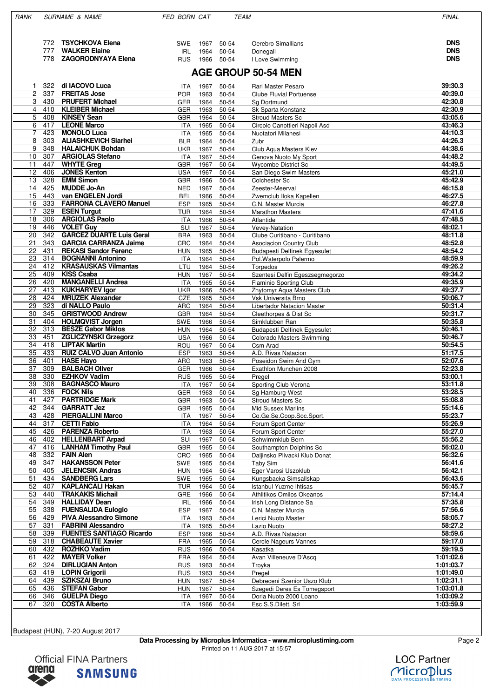| RANK           |            | <b>SURNAME &amp; NAME</b>                                       | FED BORN CAT             |              | <b>TEAM</b>    |                                                         | <b>FINAL</b>           |
|----------------|------------|-----------------------------------------------------------------|--------------------------|--------------|----------------|---------------------------------------------------------|------------------------|
|                |            |                                                                 |                          |              |                |                                                         |                        |
|                | 772        | <b>TSYCHKOVA Elena</b>                                          | SWE                      | 1967         | 50-54          | Oerebro Simallians                                      | <b>DNS</b>             |
|                | 777        | <b>WALKER Elaine</b>                                            | <b>IRL</b>               | 1964         | 50-54          | Donegall                                                | <b>DNS</b>             |
|                | 778        | <b>ZAGORODNYAYA Elena</b>                                       | <b>RUS</b>               |              | 1966 50-54     | I Love Swimming                                         | <b>DNS</b>             |
|                |            |                                                                 |                          |              |                |                                                         |                        |
|                |            |                                                                 |                          |              |                | <b>AGE GROUP 50-54 MEN</b>                              |                        |
| 1              | 322        | di IACOVO Luca                                                  | ITA                      | 1967         | 50-54          | Rari Master Pesaro                                      | 39:30.3                |
| $\overline{c}$ | 337        | <b>FREITAS Jose</b>                                             | <b>POR</b>               | 1963         | 50-54          | <b>Clube Fluvial Portuense</b>                          | 40:39.0                |
| 3<br>4         | 430<br>410 | <b>PRUFERT Michael</b><br><b>KLEIBER Michael</b>                | <b>GER</b>               | 1964         | 50-54          | Sg Dortmund<br>Sk Sparta Konstanz                       | 42:30.8<br>42:30.9     |
| 5              | 408        | <b>KINSEY Sean</b>                                              | GER<br><b>GBR</b>        | 1963<br>1964 | 50-54<br>50-54 | <b>Stroud Masters Sc</b>                                | 43:05.6                |
| 6              | 417        | <b>LEONE Marco</b>                                              | <b>ITA</b>               | 1965         | 50-54          | Circolo Canottieri Napoli Asd                           | 43:46.3                |
| $\overline{7}$ | 423        | <b>MONOLO Luca</b>                                              | <b>ITA</b>               | 1965         | 50-54          | Nuotatori Milanesi                                      | 44:10.3                |
| 8              | 303        | <b>ALIASHKEVICH Siarhei</b>                                     | <b>BLR</b>               | 1964         | 50-54          | Zubr                                                    | 44:26.3                |
| 9              | 348        | <b>HALAICHUK Bohdan</b>                                         | <b>UKR</b>               | 1967         | 50-54          | Club Aqua Masters Kiev                                  | 44:38.6                |
| 10             | 307        | <b>ARGIOLAS Stefano</b>                                         | <b>ITA</b>               | 1967         | 50-54          | Genova Nuoto My Sport                                   | 44:48.2                |
| 11             | 447        | <b>WHYTE Greg</b>                                               | <b>GBR</b>               | 1967         | 50-54          | <b>Wycombe District Sc</b>                              | 44:49.5                |
| 12             | 406        | <b>JONES Kenton</b><br><b>EMM Simon</b>                         | <b>USA</b>               | 1967         | 50-54          | San Diego Swim Masters                                  | 45:21.0                |
| 13<br>14       | 328<br>425 | <b>MUDDE Jo-An</b>                                              | <b>GBR</b><br><b>NED</b> | 1966<br>1967 | 50-54<br>50-54 | Colchester Sc<br>Zeester-Meerval                        | 45:42.9<br>46:15.8     |
| 15             | 443        | van ENGELEN Jordi                                               | <b>BEL</b>               | 1966         | 50-54          | Zwemclub Iloka Kapellen                                 | 46:27.5                |
| 16             | 333        | <b>FARRONA CLAVERO Manuel</b>                                   | <b>ESP</b>               | 1965         | 50-54          | C.N. Master Murcia                                      | 46:27.8                |
| 17             | 329        | <b>ESEN Turgut</b>                                              | <b>TUR</b>               | 1964         | 50-54          | <b>Marathon Masters</b>                                 | 47:41.6                |
| 18             | 306        | <b>ARGIOLAS Paolo</b>                                           | <b>ITA</b>               | 1966         | 50-54          | Atlantide                                               | 47:48.5                |
| 19             | 446        | <b>VOLET Guv</b>                                                | SUI                      | 1967         | 50-54          | Vevey-Natation                                          | 48:02.1                |
| 20             | 342        | <b>GARCEZ DUARTE Luis Geral</b><br><b>GARCIA CARRANZA Jaime</b> | <b>BRA</b>               | 1963         | 50-54          | Clube Curitibano - Curitibano                           | 48:11.8                |
| 21<br>22       | 343<br>431 | <b>REKASI Sandor Ferenc</b>                                     | CRC<br><b>HUN</b>        | 1964<br>1965 | 50-54<br>50-54 | Asociacion Country Club<br>Budapesti Delfinek Egyesulet | 48:52.8<br>48:54.2     |
| 23             | 314        | <b>BOGNANNI Antonino</b>                                        | <b>ITA</b>               | 1964         | 50-54          | Pol. Waterpolo Palermo                                  | 48:59.9                |
| 24             | 412        | <b>KRASAUSKAS Vilmantas</b>                                     | LTU                      | 1964         | 50-54          | Torpedos                                                | 49:26.2                |
| 25             | 409        | <b>KISS Csaba</b>                                               | <b>HUN</b>               | 1967         | 50-54          | Szentesi Delfin Egeszsegmegorzo                         | 49:34.2                |
| 26             | 420        | <b>MANGANELLI Andrea</b>                                        | <b>ITA</b>               | 1965         | 50-54          | Flaminio Sporting Club                                  | 49:35.9                |
| 27             | 413        | <b>KUKHARYEV Igor</b>                                           | <b>UKR</b>               | 1966         | 50-54          | Zhytomyr Aqua Masters Club                              | 49:37.7                |
| 28             | 424        | <b>MRUZEK Alexander</b>                                         | <b>CZE</b>               | 1965         | 50-54          | Vsk Universita Brno                                     | 50:06.7                |
| 29<br>30       | 323<br>345 | di NALLO Paulo<br><b>GRISTWOOD Andrew</b>                       | ARG<br><b>GBR</b>        | 1964<br>1964 | 50-54<br>50-54 | Libertador Natacion Master<br>Cleethorpes & Dist Sc     | 50:31.4<br>50:31.7     |
| 31             | 404        | <b>HOLMQVIST Jorgen</b>                                         | <b>SWE</b>               | 1966         | 50-54          | Simklubben Ran                                          | 50:35.8                |
| 32             | 313        | <b>BESZE Gabor Miklos</b>                                       | <b>HUN</b>               | 1964         | 50-54          | Budapesti Delfinek Egyesulet                            | 50:46.1                |
| 33             | 451        | <b>ZGLICZYNSKI Grzegorz</b>                                     | <b>USA</b>               | 1966         | 50-54          | Colorado Masters Swimming                               | 50:46.7                |
| 34             | 418        | <b>LIPTAK Martin</b>                                            | ROU                      | 1967         | 50-54          | Csm Arad                                                | 50:54.5                |
| 35             | 433        | <b>RUIZ CALVO Juan Antonio</b>                                  | <b>ESP</b>               | 1963         | 50-54          | A.D. Rivas Natacion                                     | 51:17.5                |
| 36<br>37       | 401<br>309 | <b>HASE Hayo</b><br><b>BALBACH Oliver</b>                       | ARG<br><b>GER</b>        | 1963<br>1966 | 50-54<br>50-54 | Poseidon Swim And Gym<br>Exathlon Munchen 2008          | 52:07.6<br>52:23.8     |
| 38             | 330        | <b>EZHKOV Vadim</b>                                             | <b>RUS</b>               | 1965         | 50-54          | Pregel                                                  | 53:00.1                |
| 39             | 308        | <b>BAGNASCO Mauro</b>                                           | <b>ITA</b>               | 1967         | 50-54          | Sporting Club Verona                                    | 53:11.8                |
| 40             | 336        | <b>FOCK Nils</b>                                                | <b>GER</b>               | 1963         | 50-54          | Sg Hamburg-West                                         | 53:28.5                |
| 41             | 427        | <b>PARTRIDGE Mark</b>                                           | <b>GBR</b>               | 1963         | 50-54          | Stroud Masters Sc                                       | 55:08.8                |
| 42             | 344        | <b>GARRATT Jez</b>                                              | <b>GBR</b>               | 1965         | 50-54          | <b>Mid Sussex Marlins</b>                               | 55:14.6                |
| 43             | 428        | <b>PIERGALLINI Marco</b><br><b>CETTI Fabio</b>                  | ITA                      | 1967         | 50-54          | Co.Ge.Se.Coop.Soc.Sport.                                | 55:23.7                |
| 44<br>45       | 317<br>426 | <b>PARENZA Roberto</b>                                          | <b>ITA</b><br><b>ITA</b> | 1964<br>1963 | 50-54<br>50-54 | Forum Sport Center<br>Forum Sport Center                | 55:26.9<br>55:27.0     |
| 46             | 402        | <b>HELLENBART Arpad</b>                                         | SUI                      | 1967         | 50-54          | Schwimmklub Bern                                        | 55:56.2                |
| 47             | 416        | <b>LANHAM Timothy Paul</b>                                      | <b>GBR</b>               | 1965         | 50-54          | Southampton Dolphins Sc                                 | 56:02.0                |
| 48             | 332        | <b>FAIN Alen</b>                                                | CRO                      | 1965         | 50-54          | Daljinsko Plivacki Klub Donat                           | 56:32.6                |
| 49             | 347        | <b>HAKANSSON Peter</b>                                          | SWE                      | 1965         | 50-54          | Taby Sim                                                | 56:41.6                |
| 50<br>51       | 405<br>434 | <b>JELENCSIK Andras</b><br><b>SANDBERG Lars</b>                 | <b>HUN</b><br>SWE        | 1964         | 50-54<br>50-54 | Eger Varosi Uszoklub<br>Kungsbacka Simsallskap          | 56:42.1<br>56:43.6     |
| 52             | 407        | <b>KAPLANCALI Hakan</b>                                         | <b>TUR</b>               | 1965<br>1964 | 50-54          | Istanbul Yuzme Ihtisas                                  | 56:45.7                |
| 53             | 440        | <b>TRAKAKIS Michail</b>                                         | GRE                      | 1966         | 50-54          | Athlitikos Omilos Okeanos                               | 57:14.4                |
| 54             | 349        | <b>HALLIDAY Dean</b>                                            | <b>IRL</b>               | 1966         | 50-54          | Irish Long Distance Sa                                  | 57:35.8                |
| 55             | 338        | <b>FUENSALIDA Eulogio</b>                                       | <b>ESP</b>               | 1967         | 50-54          | C.N. Master Murcia                                      | 57:56.6                |
| 56             | 429        | <b>PIVA Alessandro Simone</b>                                   | ITA                      | 1963         | 50-54          | Lerici Nuoto Master                                     | 58:05.7                |
| 57             | 331        | <b>FABRINI Alessandro</b>                                       | <b>ITA</b>               | 1965         | 50-54          | Lazio Nuoto                                             | 58:27.2                |
| 58<br>59       | 339<br>318 | <b>FUENTES SANTIAGO Ricardo</b><br><b>CHABEAUTE Xavier</b>      | <b>ESP</b><br><b>FRA</b> | 1966<br>1965 | 50-54<br>50-54 | A.D. Rivas Natacion<br>Cercle Nageurs Vannes            | 58:59.6<br>59:17.0     |
| 60             | 432        | <b>ROZHKO Vadim</b>                                             | <b>RUS</b>               | 1966         | 50-54          | Kasatka                                                 | 59:19.5                |
| 61             | 422        | <b>MAYER Volker</b>                                             | <b>FRA</b>               | 1964         | 50-54          | Avan Villeneuve D'Ascq                                  | 1:01:02.6              |
| 62             | 324        | <b>DIRLUGIAN Anton</b>                                          | <b>RUS</b>               | 1963         | 50-54          | Troyka                                                  | 1:01:03.7              |
| 63             | 419        | <b>LOPIN Grigorii</b>                                           | <b>RUS</b>               | 1963         | 50-54          | Pregel                                                  | 1:01:49.0              |
| 64             | 439        | <b>SZIKSZAI Bruno</b>                                           | <b>HUN</b>               | 1967         | 50-54          | Debreceni Szenior Uszo Klub                             | 1:02:31.1              |
| 65             | 436        | <b>STEFAN Gabor</b>                                             | <b>HUN</b>               | 1967         | 50-54          | Szegedi Deres Es Tomegsport                             | 1:03:01.8              |
| 66<br>67       | 346<br>320 | <b>GUELPA Diego</b><br><b>COSTA Alberto</b>                     | ITA<br><b>ITA</b>        | 1967<br>1966 | 50-54<br>50-54 | Doria Nuoto 2000 Loano<br>Esc S.S.Dilett. Srl           | 1:03:09.2<br>1:03:59.9 |
|                |            |                                                                 |                          |              |                |                                                         |                        |

Budapest (HUN), 7-20 August 2017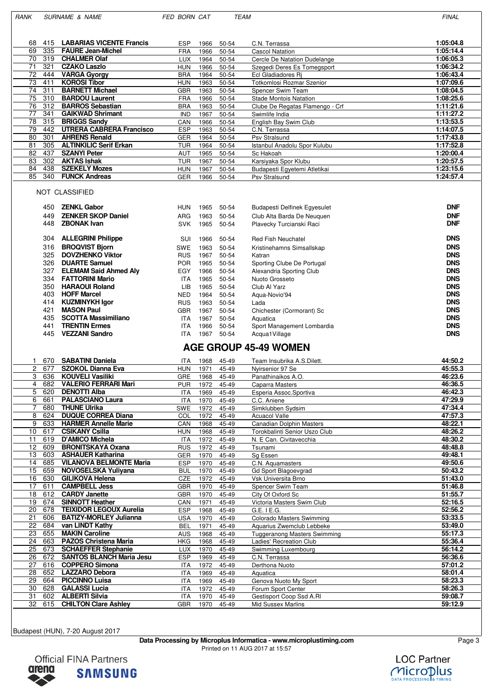RANK SURNAME & NAME FED BORN CAT TEAM TEAM FINAL

| 68        | <b>LABARIAS VICENTE Francis</b><br>415 | <b>ESP</b> | 1966 | 50-54 | C.N. Terrassa                   | 1:05:04.8 |
|-----------|----------------------------------------|------------|------|-------|---------------------------------|-----------|
| 69        | 335<br><b>FAURE Jean-Michel</b>        | <b>FRA</b> | 1966 | 50-54 | <b>Cascol Natation</b>          | 1:05:14.4 |
| 70        | 319<br><b>CHALMER Olaf</b>             | LUX        | 1964 | 50-54 | Cercle De Natation Dudelange    | 1:06:05.3 |
| 71        | 321<br><b>CZAKO Laszlo</b>             | <b>HUN</b> | 1966 | 50-54 | Szegedi Deres Es Tomegsport     | 1:06:34.2 |
| 72        | <b>VARGA Gyorgy</b><br>444             | <b>BRA</b> | 1964 | 50-54 | Ecl Gladiadores Ri              | 1:06:43.4 |
| 73        | <b>KOROSI Tibor</b><br>411             | <b>HUN</b> | 1963 | 50-54 | Totkomlosi Rozmar Szenior       | 1:07:09.6 |
| 74<br>311 | <b>BARNETT Michael</b>                 | GBR        | 1963 | 50-54 | Spencer Swim Team               | 1:08:04.5 |
| 75        | <b>BARDOU Laurent</b><br>310           | <b>FRA</b> | 1966 | 50-54 | <b>Stade Montois Natation</b>   | 1:08:25.6 |
| 76        | 312<br><b>BARROS Sebastian</b>         | <b>BRA</b> | 1963 | 50-54 | Clube De Regatas Flamengo - Crf | 1:11:21.6 |
| 77        | 341<br><b>GAIKWAD Shrimant</b>         | <b>IND</b> | 1967 | 50-54 | Swimlife India                  | 1:11:27.2 |
| 78        | <b>BRIGGS Sandv</b><br>315             | CAN        | 1966 | 50-54 | English Bay Swim Club           | 1:13:53.5 |
| 79        | <b>UTRERA CABRERA Francisco</b><br>442 | <b>ESP</b> | 1963 | 50-54 | C.N. Terrassa                   | 1:14:07.5 |
| 80        | 301<br><b>AHRENS Renald</b>            | GER        | 1964 | 50-54 | Psv Stralsund                   | 1:17:43.8 |
| 81        | 305<br><b>ALTINKILIC Serif Erkan</b>   | TUR        | 1964 | 50-54 | Istanbul Anadolu Spor Kulubu    | 1:17:52.8 |
| 82        | 437<br><b>SZANYI Peter</b>             | <b>AUT</b> | 1965 | 50-54 | Sc Hakoah                       | 1:20:00.4 |
| 83        | 302<br><b>AKTAS Ishak</b>              | TUR        | 1967 | 50-54 | Karsiyaka Spor Klubu            | 1:20:57.5 |
| 84        | 438<br><b>SZEKELY Mozes</b>            | <b>HUN</b> | 1967 | 50-54 | Budapesti Egyetemi Atletikai    | 1:23:15.6 |
| 85        | <b>FUNCK Andreas</b><br>340            | GER        | 1966 | 50-54 | Psv Stralsund                   | 1:24:57.4 |

### NOT CLASSIFIED

| 450<br>449<br>448 | <b>ZENKL Gabor</b><br><b>ZENKER SKOP Daniel</b><br><b>ZBONAK Ivan</b> | <b>HUN</b><br><b>ARG</b><br><b>SVK</b> | 1965<br>1963<br>1965 | 50-54<br>50-54<br>50-54 | <b>Budapesti Delfinek Egyesulet</b><br>Club Alta Barda De Neuguen<br>Plavecky Turcianski Raci | <b>DNF</b><br><b>DNF</b><br><b>DNF</b> |
|-------------------|-----------------------------------------------------------------------|----------------------------------------|----------------------|-------------------------|-----------------------------------------------------------------------------------------------|----------------------------------------|
| 304               | <b>ALLEGRINI Philippe</b>                                             | SUI                                    | 1966                 | 50-54                   | <b>Red Fish Neuchatel</b>                                                                     | <b>DNS</b>                             |
| 316               | <b>BROQVIST Biorn</b>                                                 | <b>SWE</b>                             | 1963                 | 50-54                   | Kristinehamns Simsallskap                                                                     | <b>DNS</b>                             |
| 325               | <b>DOVZHENKO Viktor</b>                                               | <b>RUS</b>                             | 1967                 | 50-54                   | Katran                                                                                        | <b>DNS</b>                             |
| 326               | <b>DUARTE Samuel</b>                                                  | <b>POR</b>                             | 1965                 | 50-54                   | Sporting Clube De Portugal                                                                    | <b>DNS</b>                             |
| 327               | <b>ELEMAM Said Ahmed Alv</b>                                          | EGY                                    | 1966                 | 50-54                   | Alexandria Sporting Club                                                                      | <b>DNS</b>                             |
| 334               | <b>FATTORINI Mario</b>                                                | <b>ITA</b>                             | 1965                 | $50 - 54$               | Nuoto Grosseto                                                                                | <b>DNS</b>                             |
| 350               | <b>HARAOUI Roland</b>                                                 | LIB                                    | 1965                 | 50-54                   | Club Al Yarz                                                                                  | <b>DNS</b>                             |
| 403               | <b>HOFF Marcel</b>                                                    | <b>NED</b>                             | 1964                 | 50-54                   | Agua-Novio'94                                                                                 | <b>DNS</b>                             |
| 414               | <b>KUZMINYKH Igor</b>                                                 | <b>RUS</b>                             | 1963                 | 50-54                   | Lada                                                                                          | <b>DNS</b>                             |
| 421               | <b>MASON Paul</b>                                                     | <b>GBR</b>                             | 1967                 | 50-54                   | Chichester (Cormorant) Sc                                                                     | <b>DNS</b>                             |
| 435               | <b>SCOTTA Massimiliano</b>                                            | <b>ITA</b>                             | 1967                 | 50-54                   | Aquatica                                                                                      | <b>DNS</b>                             |
| 441               | <b>TRENTIN Ermes</b>                                                  | <b>ITA</b>                             | 1966                 | 50-54                   | Sport Management Lombardia                                                                    | <b>DNS</b>                             |
| 445               | <b>VEZZANI Sandro</b>                                                 | <b>ITA</b>                             | 1967                 | 50-54                   | Acqua1Village                                                                                 | <b>DNS</b>                             |

## **AGE GROUP 45-49 WOMEN**

|                | 670 | <b>SABATINI Daniela</b>         | <b>ITA</b> | 1968 | 45-49 | Team Insubrika A.S.Dilett.          | 44:50.2 |
|----------------|-----|---------------------------------|------------|------|-------|-------------------------------------|---------|
| $\overline{c}$ | 677 | <b>SZOKOL Dianna Eva</b>        | <b>HUN</b> | 1971 | 45-49 | Nyirsenior 97 Se                    | 45:55.3 |
| 3              | 636 | <b>KOUVELI Vasiliki</b>         | <b>GRE</b> | 1968 | 45-49 | Panathinaikos A.O.                  | 46:23.6 |
| $\overline{4}$ | 682 | <b>VALERIO FERRARI Mari</b>     | <b>PUR</b> | 1972 | 45-49 | Caparra Masters                     | 46:36.5 |
| 5              | 620 | <b>DENOTTI Alba</b>             | <b>ITA</b> | 1969 | 45-49 | Esperia Assoc.Sportiva              | 46:42.3 |
| 6              | 661 | <b>PALASCIANO Laura</b>         | <b>ITA</b> | 1970 | 45-49 | C.C. Aniene                         | 47:29.9 |
|                | 680 | <b>THUNE Ulrika</b>             | <b>SWE</b> | 1972 | 45-49 | Simklubben Sydsim                   | 47:34.4 |
| 8              | 624 | <b>DUQUE CORREA Diana</b>       | COL        | 1972 | 45-49 | <b>Acuacol Valle</b>                | 47:57.3 |
| 9              | 633 | <b>HARMER Annelle Marie</b>     | CAN        | 1968 | 45-49 | <b>Canadian Dolphin Masters</b>     | 48:22.1 |
| 10             | 617 | <b>CSIKANY Csilla</b>           | <b>HUN</b> | 1968 | 45-49 | Torokbalinti Senior Uszo Club       | 48:26.2 |
| 11             | 619 | D'AMICO Michela                 | <b>ITA</b> | 1972 | 45-49 | N. E Can. Civitavecchia             | 48:30.2 |
| 12             | 609 | <b>BRONITSKAYA Oxana</b>        | <b>RUS</b> | 1972 | 45-49 | Tsunami                             | 48:48.8 |
| 13             | 603 | <b>ASHAUER Katharina</b>        | <b>GER</b> | 1970 | 45-49 | Sg Essen                            | 49:48.1 |
| 14             | 685 | <b>VILANOVA BELMONTE Maria</b>  | <b>ESP</b> | 1970 | 45-49 | C.N. Aquamasters                    | 49:50.6 |
| 15             | 659 | <b>NOVOSELSKA Yuliyana</b>      | <b>BUL</b> | 1970 | 45-49 | Gd Sport Blagoevgrad                | 50:43.2 |
| 16             | 630 | <b>GILIKOVA Helena</b>          | CZE        | 1972 | 45-49 | Vsk Universita Brno                 | 51:43.0 |
| 17             | 611 | <b>CAMPBELL Jess</b>            | <b>GBR</b> | 1970 | 45-49 | Spencer Swim Team                   | 51:46.8 |
| 18             | 612 | <b>CARDY Janette</b>            | <b>GBR</b> | 1970 | 45-49 | City Of Oxford Sc                   | 51:55.7 |
| 19             | 674 | <b>SINNOTT Heather</b>          | CAN        | 1971 | 45-49 | Victoria Masters Swim Club          | 52:16.5 |
| 20             | 678 | <b>TEIXIDOR LEGOUX Aurelia</b>  | <b>ESP</b> | 1968 | 45-49 | $G.E.$ I $E.G.$                     | 52:56.2 |
| 21             | 606 | <b>BATIZY-MORLEY Julianna</b>   | <b>USA</b> | 1970 | 45-49 | Colorado Masters Swimming           | 53:33.5 |
| 22             | 684 | van LINDT Kathy                 | <b>BEL</b> | 1971 | 45-49 | Aquarius Zwemclub Lebbeke           | 53:49.0 |
| 23             | 655 | <b>MAKIN Caroline</b>           | <b>AUS</b> | 1968 | 45-49 | <b>Tuggeranong Masters Swimming</b> | 55:17.3 |
| 24             | 663 | <b>PAZOS Christena Maria</b>    | <b>HKG</b> | 1968 | 45-49 | Ladies' Recreation Club             | 55:36.4 |
| 25             | 673 | <b>SCHAEFFER Stephanie</b>      | <b>LUX</b> | 1970 | 45-49 | Swimming Luxembourg                 | 56:14.2 |
| 26             | 672 | <b>SANTOS BLANCH Maria Jesu</b> | <b>ESP</b> | 1969 | 45-49 | C.N. Terrassa                       | 56:36.6 |
| 27             | 616 | <b>COPPERO Simona</b>           | <b>ITA</b> | 1972 | 45-49 | Derthona Nuoto                      | 57:01.2 |
| 28             | 652 | <b>LAZZARO Debora</b>           | <b>ITA</b> | 1969 | 45-49 | Aquatica                            | 58:01.4 |
| 29             | 664 | <b>PICCINNO Luisa</b>           | <b>ITA</b> | 1969 | 45-49 | Genova Nuoto My Sport               | 58:23.3 |
| 30             | 628 | <b>GALASSI Lucia</b>            | <b>ITA</b> | 1972 | 45-49 | Forum Sport Center                  | 58:26.3 |
| 31             | 602 | <b>ALBERTI Silvia</b>           | <b>ITA</b> | 1970 | 45-49 | Gestisport Coop Ssd A.RI            | 59:08.7 |
| 32             | 615 | <b>CHILTON Clare Ashley</b>     | <b>GBR</b> | 1970 | 45-49 | <b>Mid Sussex Marlins</b>           | 59:12.9 |
|                |     |                                 |            |      |       |                                     |         |

Budapest (HUN), 7-20 August 2017

**Data Processing by Microplus Informatica - www.microplustiming.com** Page 3 Printed on 11 AUG 2017 at 15:57



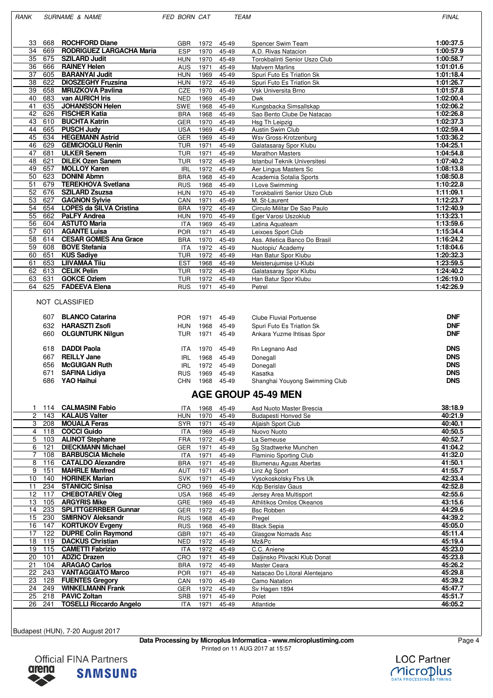RANK SURNAME & NAME FED BORN CAT TEAM TEAM FINAL

| 33 | 668 | <b>ROCHFORD Diane</b>           | <b>GBR</b> | 1972 | 45-49 | Spencer Swim Team             | 1:00:37.5 |
|----|-----|---------------------------------|------------|------|-------|-------------------------------|-----------|
| 34 | 669 | <b>RODRIGUEZ LARGACHA Maria</b> | <b>ESP</b> | 1970 | 45-49 | A.D. Rivas Natacion           | 1:00:57.9 |
| 35 | 675 | <b>SZILARD Judit</b>            | <b>HUN</b> | 1970 | 45-49 | Torokbalinti Senior Uszo Club | 1:00:58.7 |
| 36 | 666 | <b>RAINEY Helen</b>             | <b>AUS</b> | 1971 | 45-49 | <b>Malvern Marlins</b>        | 1:01:01.6 |
| 37 | 605 | <b>BARANYAI Judit</b>           | <b>HUN</b> | 1969 | 45-49 | Spuri Futo Es Triatlon Sk     | 1:01:18.4 |
| 38 | 622 | <b>DIOSZEGHY Fruzsina</b>       | <b>HUN</b> | 1972 | 45-49 | Spuri Futo Es Triatlon Sk     | 1:01:26.7 |
| 39 | 658 | <b>MRUZKOVA Pavlina</b>         | <b>CZE</b> | 1970 | 45-49 | Vsk Universita Brno           | 1:01:57.8 |
| 40 | 683 | van AURICH Iris                 | <b>NED</b> | 1969 | 45-49 | Dwk                           | 1:02:00.4 |
| 41 | 635 | <b>JOHANSSON Helen</b>          | <b>SWE</b> | 1968 | 45-49 | Kungsbacka Simsallskap        | 1:02:06.2 |
| 42 | 626 | <b>FISCHER Katia</b>            | <b>BRA</b> | 1968 | 45-49 | Sao Bento Clube De Natacao    | 1:02:26.8 |
| 43 | 610 | <b>BUCHTA Katrin</b>            | <b>GER</b> | 1970 | 45-49 | Hsg Th Leipzig                | 1:02:37.3 |
| 44 | 665 | <b>PUSCH Judy</b>               | <b>USA</b> | 1969 | 45-49 | Austin Swim Club              | 1:02:59.4 |
| 45 | 634 | <b>HEGEMANN Astrid</b>          | <b>GER</b> | 1969 | 45-49 | Wsv Gross-Krotzenburg         | 1:03:36.2 |
| 46 | 629 | <b>GEMICIOGLU Renin</b>         | <b>TUR</b> | 1971 | 45-49 | Galatasaray Spor Klubu        | 1:04:25.1 |
| 47 | 681 | <b>ULKER Senem</b>              | <b>TUR</b> | 1971 | 45-49 | <b>Marathon Masters</b>       | 1:04:54.8 |
| 48 | 621 | <b>DILEK Ozen Sanem</b>         | <b>TUR</b> | 1972 | 45-49 | Istanbul Teknik Universitesi  | 1:07:40.2 |
| 49 | 657 | <b>MOLLOY Karen</b>             | <b>IRL</b> | 1972 | 45-49 | Aer Lingus Masters Sc         | 1:08:13.8 |
| 50 | 623 | <b>DONINI Abmn</b>              | <b>BRA</b> | 1968 | 45-49 | Academia Sotalia Sports       | 1:08:50.8 |
| 51 | 679 | <b>TEREKHOVA Svetlana</b>       | <b>RUS</b> | 1968 | 45-49 | I Love Swimming               | 1:10:22.8 |
| 52 | 676 | <b>SZILARD Zsuzsa</b>           | <b>HUN</b> | 1970 | 45-49 | Torokbalinti Senior Uszo Club | 1:11:09.1 |
| 53 | 627 | <b>GAGNON Sylvie</b>            | CAN        | 1971 | 45-49 | M. St-Laurent                 | 1:12:23.7 |
| 54 | 654 | <b>LOPES da SILVA Cristina</b>  | <b>BRA</b> | 1972 | 45-49 | Circulo Militar De Sao Paulo  | 1:12:40.9 |
| 55 | 662 | <b>PaLFY Andrea</b>             | <b>HUN</b> | 1970 | 45-49 | Eger Varosi Uszoklub          | 1:13:23.1 |
| 56 | 604 | <b>ASTUTO Maria</b>             | <b>ITA</b> | 1969 | 45-49 | Latina Aquateam               | 1:13:59.6 |
| 57 | 601 | <b>AGANTE Luisa</b>             | <b>POR</b> | 1971 | 45-49 | Leixoes Sport Club            | 1:15:34.4 |
| 58 | 614 | <b>CESAR GOMES Ana Grace</b>    | <b>BRA</b> | 1970 | 45-49 | Ass. Atletica Banco Do Brasil | 1:16:24.2 |
| 59 | 608 | <b>BOVE Stefania</b>            | <b>ITA</b> | 1972 | 45-49 | Nuotopiu' Academy             | 1:18:04.6 |
| 60 | 651 | <b>KUS Sadive</b>               | <b>TUR</b> | 1972 | 45-49 | Han Batur Spor Klubu          | 1:20:32.3 |
| 61 | 653 | <b>LIIVAMAA Tiiu</b>            | <b>EST</b> | 1968 | 45-49 | Meisteruiumise U-Klubi        | 1:23:59.5 |
| 62 | 613 | <b>CELIK Pelin</b>              | <b>TUR</b> | 1972 | 45-49 | Galatasaray Spor Klubu        | 1:24:40.2 |
| 63 | 631 | <b>GOKCE Ozlem</b>              | <b>TUR</b> | 1972 | 45-49 | Han Batur Spor Klubu          | 1:26:19.0 |
| 64 | 625 | <b>FADEEVA Elena</b>            | <b>RUS</b> | 1971 | 45-49 | Petrel                        | 1:42:26.9 |
|    |     |                                 |            |      |       |                               |           |

#### NOT CLASSIFIED

| 607<br>632<br>660 | <b>BLANCO Catarina</b><br><b>HARASZTI Zsofi</b><br><b>OLGUNTURK Nilgun</b> | <b>POR</b><br><b>HUN</b><br>TUR | 1971<br>1968<br>1971 | 45-49<br>45-49<br>45-49 | Clube Fluvial Portuense<br>Spuri Futo Es Triation Sk<br>Ankara Yuzme Ihtisas Spor | <b>DNF</b><br><b>DNF</b><br><b>DNF</b> |
|-------------------|----------------------------------------------------------------------------|---------------------------------|----------------------|-------------------------|-----------------------------------------------------------------------------------|----------------------------------------|
| 618               | <b>DADDI Paola</b>                                                         | <b>ITA</b>                      | 1970                 | 45-49                   | Rn Legnano Asd                                                                    | <b>DNS</b>                             |
| 667               | <b>REILLY Jane</b>                                                         | IRL                             | 1968                 | 45-49                   | Donegall                                                                          | <b>DNS</b>                             |
| 656               | <b>McGUIGAN Ruth</b>                                                       | IRL                             | 1972                 | 45-49                   | Donegall                                                                          | <b>DNS</b>                             |
| 671               | <b>SAFINA Lidiya</b>                                                       | <b>RUS</b>                      | 1969                 | 45-49                   | Kasatka                                                                           | <b>DNS</b>                             |
| 686               | <b>YAO Haihui</b>                                                          | CHN                             | 1968                 | 45-49                   | Shanghai Youyong Swimming Club                                                    | <b>DNS</b>                             |

## **AGE GROUP 45-49 MEN**

|    | 114 | <b>CALMASINI Fabio</b>         | <b>ITA</b> | 1968 | 45-49 | Asd Nuoto Master Brescia      | 38:18.9 |
|----|-----|--------------------------------|------------|------|-------|-------------------------------|---------|
| 2  | 143 | <b>KALAUS Valter</b>           | <b>HUN</b> | 1970 | 45-49 | <b>Budapesti Honved Se</b>    | 40:21.9 |
| 3  | 208 | <b>MOUALA Feras</b>            | <b>SYR</b> | 1971 | 45-49 | Aljaish Sport Club            | 40:40.1 |
| 4  | 118 | <b>COCCI Guido</b>             | <b>ITA</b> | 1969 | 45-49 | Nuovo Nuoto                   | 40:50.5 |
| 5  | 103 | <b>ALINOT Stephane</b>         | <b>FRA</b> | 1972 | 45-49 | La Semeuse                    | 40:52.7 |
| 6  | 121 | <b>DIECKMANN Michael</b>       | <b>GER</b> | 1971 | 45-49 | Sg Stadtwerke Munchen         | 41:04.2 |
|    | 108 | <b>BARBUSCIA Michele</b>       | <b>ITA</b> | 1971 | 45-49 | Flaminio Sporting Club        | 41:32.0 |
| 8  | 116 | <b>CATALDO Alexandre</b>       | <b>BRA</b> | 1971 | 45-49 | Blumenau Aguas Abertas        | 41:50.1 |
| 9  | 151 | <b>MAHRLE Manfred</b>          | AUT        | 1971 | 45-49 | Linz Ag Sport                 | 41:55.7 |
| 10 | 140 | <b>HORINEK Marian</b>          | <b>SVK</b> | 1971 | 45-49 | Vysokoskolsky Ftvs Uk         | 42:33.4 |
| 11 | 234 | <b>STANICIC Sinisa</b>         | <b>CRO</b> | 1969 | 45-49 | <b>Kdp Berislav Gaus</b>      | 42:52.8 |
| 12 | 117 | <b>CHEBOTAREV Oleg</b>         | <b>USA</b> | 1968 | 45-49 | Jersey Area Multisport        | 42:55.6 |
| 13 | 105 | <b>ARGYRIS Mike</b>            | <b>GRE</b> | 1969 | 45-49 | Athlitikos Omilos Okeanos     | 43:15.6 |
| 14 | 233 | <b>SPLITTGERRBER Gunnar</b>    | GER        | 1972 | 45-49 | <b>Bsc Robben</b>             | 44:29.6 |
| 15 | 230 | <b>SMIRNOV Aleksandr</b>       | <b>RUS</b> | 1968 | 45-49 | Pregel                        | 44:39.2 |
| 16 | 147 | <b>KORTUKOV Evgeny</b>         | <b>RUS</b> | 1968 | 45-49 | <b>Black Sepia</b>            | 45:05.0 |
| 17 | 122 | <b>DUPRE Colin Raymond</b>     | <b>GBR</b> | 1971 | 45-49 | Glasgow Nomads Asc            | 45:11.4 |
| 18 | 119 | <b>DACKUS Christian</b>        | <b>NED</b> | 1972 | 45-49 | Mz&Pc                         | 45:19.4 |
| 19 | 115 | <b>CAMETTI Fabrizio</b>        | <b>ITA</b> | 1972 | 45-49 | C.C. Aniene                   | 45:23.0 |
| 20 | 101 | <b>ADZIC Drazen</b>            | <b>CRO</b> | 1971 | 45-49 | Daljinsko Plivacki Klub Donat | 45:23.8 |
| 21 | 104 | <b>ARAGAO Carlos</b>           | <b>BRA</b> | 1972 | 45-49 | Master Ceara                  | 45:26.2 |
| 22 | 243 | <b>VANTAGGIATO Marco</b>       | <b>POR</b> | 1971 | 45-49 | Natacao Do Litoral Alentejano | 45:29.8 |
| 23 | 128 | <b>FUENTES Gregory</b>         | CAN        | 1970 | 45-49 | Camo Natation                 | 45:39.2 |
| 24 | 249 | <b>WINKELMANN Frank</b>        | <b>GER</b> | 1972 | 45-49 | Sv Hagen 1894                 | 45:47.7 |
| 25 | 218 | <b>PAVIC Zoltan</b>            | SRB        | 1971 | 45-49 | Polet                         | 45:51.7 |
| 26 | 241 | <b>TOSELLI Riccardo Angelo</b> | <b>ITA</b> | 1971 | 45-49 | Atlantide                     | 46:05.2 |
|    |     |                                |            |      |       |                               |         |

Budapest (HUN), 7-20 August 2017

**Data Processing by Microplus Informatica - www.microplustiming.com** Page 4 Printed on 11 AUG 2017 at 15:57



**LOC Partner** MicroDlus **PROCESSING & TIMI**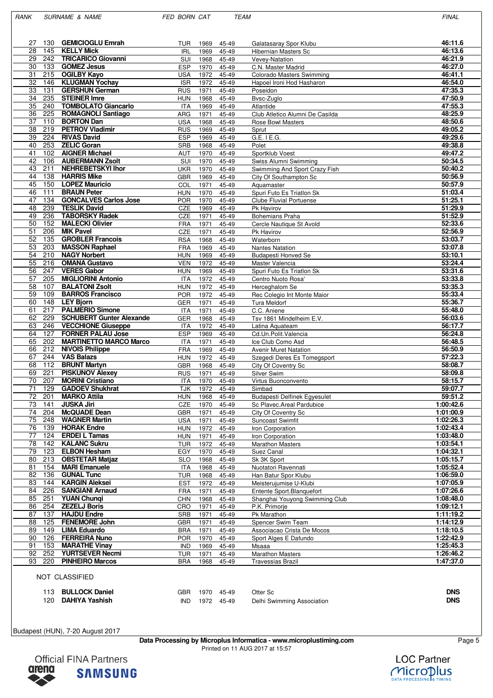RANK SURNAME & NAME FED BORN CAT TEAM TEAM FINAL

| 130<br>27              | <b>GEMICIOGLU Emrah</b>                                 | TUR                      | 1969         | 45-49          | Galatasaray Spor Klubu                       | 46:11.6                |
|------------------------|---------------------------------------------------------|--------------------------|--------------|----------------|----------------------------------------------|------------------------|
| 28<br>145              | <b>KELLY Mick</b>                                       | <b>IRL</b>               | 1969         | 45-49          | <b>Hibernian Masters Sc</b>                  | 46:13.6                |
| 29<br>242              | <b>TRICARICO Giovanni</b>                               | SUI                      | 1968         | 45-49          | Vevey-Natation                               | 46:21.9                |
| 30<br>133              | <b>GOMEZ Jesus</b>                                      | <b>ESP</b>               | 1970         | 45-49          | C.N. Master Madrid                           | 46:27.0                |
| 31<br>215              | <b>OGILBY Kayo</b>                                      | <b>USA</b>               | 1972         | 45-49          | Colorado Masters Swimming                    | 46:41.1                |
| 146<br>32              | <b>KLUGMAN Yochay</b>                                   | <b>ISR</b>               | 1972         | 45-49          | Hapoel Ironi Hod Hasharon                    | 46:54.0                |
| 33<br>131              | <b>GERSHUN German</b>                                   | <b>RUS</b>               | 1971         | 45-49          | Poseidon                                     | 47:35.3                |
| 34<br>235<br>35<br>240 | <b>STEINER Imre</b><br><b>TOMBOLATO Giancarlo</b>       | <b>HUN</b>               | 1968         | 45-49          | Bvsc-Zuglo                                   | 47:50.9<br>47:55.3     |
| 36<br>225              | <b>ROMAGNOLI Santiago</b>                               | <b>ITA</b><br>ARG        | 1969<br>1971 | 45-49<br>45-49 | Atlantide<br>Club Atletico Alumni De Casilda | 48:25.9                |
| 37<br>110              | <b>BORTON Dan</b>                                       | <b>USA</b>               | 1968         | 45-49          | <b>Rose Bowl Masters</b>                     | 48:50.6                |
| 38<br>219              | <b>PETROV Vladimir</b>                                  | <b>RUS</b>               | 1969         | 45-49          | Sprut                                        | 49:05.2                |
| 39<br>224              | <b>RIVAS David</b>                                      | <b>ESP</b>               | 1969         | 45-49          | G.E. I E.G.                                  | 49:29.6                |
| 40<br>253              | <b>ZELIC Goran</b>                                      | <b>SRB</b>               | 1968         | 45-49          | Polet                                        | 49:38.8                |
| 41<br>102              | <b>AIGNER Michael</b>                                   | AUT                      | 1970         | 45-49          | Sportklub Voest                              | 49:47.2                |
| 42<br>106              | <b>AUBERMANN Zsolt</b>                                  | SUI                      | 1970         | 45-49          | Swiss Alumni Swimming                        | 50:34.5                |
| 43<br>211              | <b>NEHREBETSKYI Ihor</b>                                | UKR                      | 1970         | 45-49          | Swimming And Sport Crazy Fish                | 50:40.2                |
| 138<br>44              | <b>HARRIS Mike</b>                                      | <b>GBR</b>               | 1969         | 45-49          | City Of Southampton Sc                       | 50:56.9                |
| 45<br>150              | <b>LOPEZ Mauricio</b>                                   | COL                      | 1971         | 45-49          | Aquamaster                                   | 50:57.9                |
| 46<br>111              | <b>BRAUN Peter</b>                                      | <b>HUN</b>               | 1970         | 45-49          | Spuri Futo Es Triatlon Sk                    | 51:03.4                |
| 47<br>134<br>48<br>239 | <b>GONCALVES Carlos Jose</b><br><b>TESLIK David</b>     | <b>POR</b>               | 1970         | 45-49          | <b>Clube Fluvial Portuense</b>               | 51:25.1<br>51:29.9     |
| 49<br>236              | <b>TABORSKY Radek</b>                                   | CZE<br>CZE               | 1969<br>1971 | 45-49<br>45-49 | Pk Havirov<br><b>Bohemians Praha</b>         | 51:52.9                |
| 50<br>152              | <b>MALECKI Olivier</b>                                  | <b>FRA</b>               | 1971         | 45-49          | Cercle Nautique St Avold                     | 52:33.6                |
| 51<br>206              | <b>MIK Pavel</b>                                        | CZE                      | 1971         | 45-49          | Pk Havirov                                   | 52:56.9                |
| 52<br>135              | <b>GROBLER Francois</b>                                 | <b>RSA</b>               | 1968         | 45-49          | Waterborn                                    | 53:03.7                |
| 53<br>203              | <b>MASSON Raphael</b>                                   | <b>FRA</b>               | 1969         | 45-49          | <b>Nantes Natation</b>                       | 53:07.8                |
| 54<br>210              | <b>NAGY Norbert</b>                                     | <b>HUN</b>               | 1969         | 45-49          | Budapesti Honved Se                          | 53:10.1                |
| 55<br>216              | <b>OMANA Gustavo</b>                                    | <b>VEN</b>               | 1972         | 45-49          | Master Valencia                              | 53:24.4                |
| 56<br>247              | <b>VERES Gabor</b>                                      | <b>HUN</b>               | 1969         | 45-49          | Spuri Futo Es Triatlon Sk                    | 53:31.6                |
| 57<br>205              | <b>MIGLIORINI Antonio</b>                               | <b>ITA</b>               | 1972         | 45-49          | Centro Nuoto Rosa'                           | 53:33.8                |
| 58<br>107              | <b>BALATONI Zsolt</b>                                   | <b>HUN</b>               | 1972         | 45-49          | Herceghalom Se                               | 53:35.3                |
| 59<br>109              | <b>BARROS Francisco</b>                                 | <b>POR</b>               | 1972         | 45-49          | Rec Colegio Int Monte Maior                  | 55:33.4                |
| 60<br>148<br>217<br>61 | <b>LEY Bjorn</b><br><b>PALMERIO Simone</b>              | <b>GER</b><br><b>ITA</b> | 1971<br>1971 | 45-49          | Tura Meldorf                                 | 55:36.7<br>55:48.0     |
| 62<br>229              | <b>SCHUBERT Gunter Alexande</b>                         | <b>GER</b>               | 1968         | 45-49<br>45-49 | C.C. Aniene<br>Tsv 1861 Mindelheim E.V.      | 56:03.6                |
| 63<br>246              | <b>VECCHIONE Giuseppe</b>                               | <b>ITA</b>               | 1972         | 45-49          | Latina Aquateam                              | 56:17.7                |
| 64<br>127              | <b>FORNER PALAU Jose</b>                                | <b>ESP</b>               | 1969         | 45-49          | Cd.Un.Polit.Valencia                         | 56:24.8                |
| 65<br>202              |                                                         |                          |              | 45-49          |                                              |                        |
|                        |                                                         | <b>ITA</b>               | 1971         |                | Ice Club Como Asd                            | 56:48.5                |
| 66<br>212              | <b>MARTINETTO MARCO Marco</b><br><b>NIVOIS Philippe</b> | <b>FRA</b>               | 1969         | 45-49          | <b>Avenir Muret Natation</b>                 | 56:50.9                |
| 67<br>244              | <b>VAS Balazs</b>                                       | <b>HUN</b>               | 1972         | 45-49          | Szegedi Deres Es Tomegsport                  | 57:22.3                |
| 68<br>112              | <b>BRUNT Martyn</b>                                     | <b>GBR</b>               | 1968         | 45-49          | City Of Coventry Sc                          | 58:08.7                |
| 69<br>221              | <b>PISKUNOV Alexey</b>                                  | <b>RUS</b>               | 1971         | 45-49          | Silver Swim                                  | 58:09.8                |
| 207<br>70              | <b>MORINI Cristiano</b>                                 | <b>ITA</b>               | 1970         | 45-49          | Virtus Buonconvento                          | 58:15.7                |
| 71<br>129              | <b>GADOEV Shukhrat</b>                                  | <b>TJK</b>               | 1972         | 45-49          | Simbad                                       | 59:07.7                |
| 72<br>201              | <b>MARKO Attila</b>                                     | <b>HUN</b>               | 1968         | 45-49          | <b>Budapesti Delfinek Eqyesulet</b>          | 59:51.2                |
| 73<br>141              | <b>JUSKA Jiri</b>                                       | CZE                      | 1970         | 45-49          | Sc Plavec.Areal Pardubice                    | 1:00:42.6              |
| 204<br>74              | <b>McQUADE Dean</b>                                     | GBR                      | 1971         | 45-49          | City Of Coventry Sc                          | 1:01:00.9              |
| 75<br>248              | <b>WAGNER Martin</b>                                    | <b>USA</b>               | 1971         | 45-49          | Suncoast Swimfit                             | 1:02:26.3              |
| 76<br>139<br>77<br>124 | <b>HORAK Endre</b>                                      | <b>HUN</b>               | 1972         | 45-49          | Iron Corporation                             | 1:02:43.4              |
| 78<br>142              | <b>ERDEI L Tamas</b><br><b>KALANC Sukru</b>             | <b>HUN</b><br><b>TUR</b> | 1971<br>1972 | 45-49<br>45-49 | Iron Corporation<br><b>Marathon Masters</b>  | 1:03:48.0<br>1:03:54.1 |
| 79<br>123              | <b>ELBON Hesham</b>                                     | EGY                      | 1970         | 45-49          | Suez Canal                                   | 1:04:32.1              |
| 80<br>213              | <b>OBSTETAR Matjaz</b>                                  | <b>SLO</b>               | 1968         | 45-49          | Sk 3K Sport                                  | 1:05:15.7              |
| 154<br>81              | <b>MARI Emanuele</b>                                    | ITA                      | 1968         | 45-49          | Nuotatori Ravennati                          | 1:05:52.4              |
| 136<br>82              | <b>GUNAL Tunc</b>                                       | <b>TUR</b>               | 1968         | 45-49          | Han Batur Spor Klubu                         | 1:06:59.0              |
| 83<br>144              | <b>KARGIN Aleksei</b>                                   | <b>EST</b>               | 1972         | 45-49          | Meisterujumise U-Klubi                       | 1:07:05.9              |
| 226<br>84              | <b>SANGIANI Arnaud</b>                                  | <b>FRA</b>               | 1971         | 45-49          | Entente Sport.Blanquefort                    | 1:07:26.6              |
| 85<br>251              | <b>YUAN Chungi</b>                                      | <b>CHN</b>               | 1968         | 45-49          | Shanghai Youyong Swimming Club               | 1:08:48.0              |
| 86<br>254              | <b>ZEZELJ Boris</b>                                     | CRO                      | 1971         | 45-49          | P.K. Primorje                                | 1:09:12.1              |
| 87<br>137              | <b>HAJDU Endre</b>                                      | SRB                      | 1971         | 45-49          | Pk Marathon                                  | 1:11:19.2              |
| 88<br>125              | <b>FENEMORE John</b>                                    | <b>GBR</b>               | 1971         | 45-49          | Spencer Swim Team                            | 1:14:12.9              |
| 89<br>149<br>90<br>126 | <b>LIMA Eduardo</b>                                     | <b>BRA</b>               | 1971         | 45-49          | Associacao Crista De Mocos                   | 1:18:10.5<br>1:22:42.9 |
| 91                     | <b>FERREIRA Nuno</b><br><b>MARATHE Vinay</b>            | <b>POR</b><br><b>IND</b> | 1970<br>1969 | 45-49<br>45-49 | Sport Alges E Dafundo<br>Msaaa               |                        |
| 153<br>92<br>252       | <b>YURTSEVER Necmi</b>                                  | <b>TUR</b>               | 1971         | 45-49          | <b>Marathon Masters</b>                      | 1:25:45.3<br>1:26:46.2 |

### NOT CLASSIFIED

| 113 BULLOCK Daniel |  | GBR 1970 45-49 | Otter Sc                   | <b>DNS</b> |
|--------------------|--|----------------|----------------------------|------------|
| 120 DAHIYA Yashish |  | IND 1972 45-49 | Delhi Swimming Association | <b>DNS</b> |

Budapest (HUN), 7-20 August 2017

**Data Processing by Microplus Informatica - www.microplustiming.com** Page 5 Printed on 11 AUG 2017 at 15:57



LOC Partner MICroplus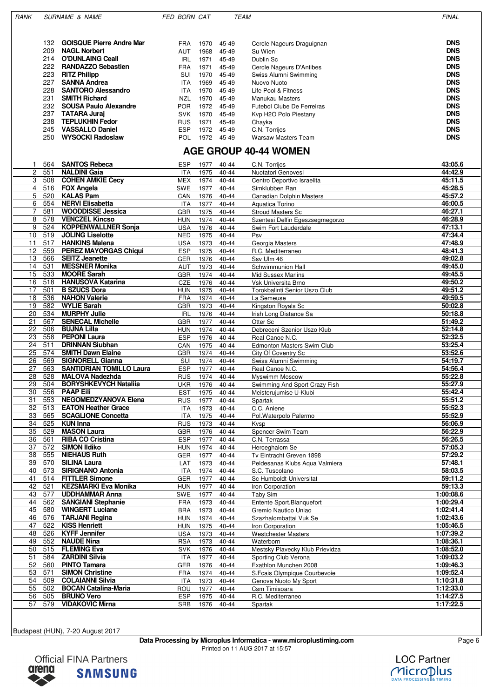| RANK | <b>SURNAME &amp; NAME</b> |                                                   | <b>FED BORN CAT</b>      |              |                | <b>TEAM</b>                                       | <b>FINAL</b>             |
|------|---------------------------|---------------------------------------------------|--------------------------|--------------|----------------|---------------------------------------------------|--------------------------|
|      | 132                       | <b>GOISQUE Pierre Andre Mar</b>                   | <b>FRA</b>               | 1970         | 45-49          | Cercle Nageurs Draguignan                         | <b>DNS</b>               |
|      | 209<br>214                | <b>NAGL Norbert</b><br><b>O'DUNLAING Ceall</b>    | AUT<br>IRL               | 1968<br>1971 | 45-49<br>45-49 | Su Wien<br>Dublin Sc                              | <b>DNS</b><br><b>DNS</b> |
|      | 222<br>223                | <b>RANDAZZO Sebastien</b><br><b>RITZ Philipp</b>  | <b>FRA</b><br>SUI        | 1971<br>1970 | 45-49<br>45-49 | Cercle Nageurs D'Antibes<br>Swiss Alumni Swimming | <b>DNS</b><br><b>DNS</b> |
|      | 227                       | <b>SANNA Andrea</b>                               | ITA                      | 1969         | 45-49          | Nuovo Nuoto                                       | <b>DNS</b>               |
|      | 228<br>231                | <b>SANTORO Alessandro</b><br><b>SMITH Richard</b> | ITA<br>NZL               | 1970<br>1970 | 45-49<br>45-49 | Life Pool & Fitness<br>Manukau Masters            | <b>DNS</b><br><b>DNS</b> |
|      | 232                       | <b>SOUSA Paulo Alexandre</b>                      | <b>POR</b>               | 1972         | 45-49          | Futebol Clube De Ferreiras                        | <b>DNS</b>               |
|      | 237<br>238                | <b>TATARA Juraj</b><br><b>TEPLUKHIN Fedor</b>     | <b>SVK</b><br><b>RUS</b> | 1970<br>1971 | 45-49<br>45-49 | Kvp H2O Polo Piestany                             | <b>DNS</b><br><b>DNS</b> |
|      | 245                       | <b>VASSALLO Daniel</b>                            | <b>ESP</b>               | 1972         | 45-49          | Chayka<br>C.N. Torrijos                           | <b>DNS</b>               |
|      | 250                       | <b>WYSOCKI Radoslaw</b>                           | POL                      | 1972         | 45-49          | Warsaw Masters Team                               | <b>DNS</b>               |

# **AGE GROUP 40-44 WOMEN**

| 1               |     | 564 SANTOS Rebeca               | <b>ESP</b> | 1977 | 40-44     | C.N. Torrijos                   | 43:05.6   |
|-----------------|-----|---------------------------------|------------|------|-----------|---------------------------------|-----------|
| $\mathbf{2}$    | 551 | <b>NALDINI Gaia</b>             | <b>ITA</b> | 1975 | 40-44     | Nuotatori Genovesi              | 44:42.9   |
| 3               | 508 | <b>COHEN AMKIE Cecy</b>         | MEX        | 1974 | 40-44     | Centro Deportivo Israelita      | 45:11.5   |
| 4               | 516 | <b>FOX Angela</b>               | SWE        | 1977 | 40-44     | Simklubben Ran                  | 45:28.5   |
| 5               | 520 | <b>KALAS Pam</b>                | CAN        | 1976 | 40-44     | Canadian Dolphin Masters        | 45:57.2   |
| 6               | 554 | <b>NERVI Elisabetta</b>         | <b>ITA</b> | 1977 | $40 - 44$ | Aquatica Torino                 | 46:00.5   |
| $\overline{7}$  | 581 | <b>WOODDISSE Jessica</b>        | <b>GBR</b> | 1975 | $40 - 44$ | <b>Stroud Masters Sc</b>        | 46:27.1   |
| 8               | 578 | <b>VENCZEL Kincso</b>           | <b>HUN</b> | 1974 | 40-44     | Szentesi Delfin Egeszsegmegorzo | 46:28.9   |
| 9               | 524 | <b>KOPPENWALLNER Sonja</b>      | USA        | 1976 | $40 - 44$ | Swim Fort Lauderdale            | 47:13.1   |
| 10              | 519 | <b>JOLING Liselotte</b>         | <b>NED</b> | 1975 | $40 - 44$ | Psv                             | 47:34.4   |
| 11              | 517 | <b>HANKINS Malena</b>           | <b>USA</b> | 1973 | 40-44     | Georgia Masters                 | 47:48.9   |
| 12              | 559 | <b>PEREZ MAYORGAS Chiqui</b>    | <b>ESP</b> | 1975 | 40-44     | R.C. Mediterraneo               | 48:41.3   |
| 13              | 566 | <b>SEITZ Jeanette</b>           | GER        | 1976 | $40 - 44$ | Ssv Ulm 46                      | 49:02.8   |
| 14              | 531 | <b>MESSNER Monika</b>           | AUT        | 1973 | 40-44     | Schwimmunion Hall               | 49:45.0   |
| 15              | 533 | <b>MOORE Sarah</b>              | GBR        | 1974 | $40 - 44$ | <b>Mid Sussex Marlins</b>       | 49:45.5   |
| 16              | 518 | <b>HANUSOVA Katarina</b>        | CZE        | 1976 | 40-44     | Vsk Universita Brno             | 49:50.2   |
| 17              | 501 | <b>B SZUCS Dora</b>             | HUN        | 1975 | 40-44     | Torokbalinti Senior Uszo Club   | 49:51.2   |
| $\overline{18}$ | 536 | <b>NAHON Valerie</b>            | <b>FRA</b> | 1974 | $40 - 44$ | La Semeuse                      | 49:59.5   |
| 19              | 582 | <b>WYLIE Sarah</b>              | GBR        | 1973 | $40 - 44$ | Kingston Royals Sc              | 50:02.8   |
| 20              | 534 | <b>MURPHY Julie</b>             | <b>IRL</b> | 1976 | $40 - 44$ | Irish Long Distance Sa          | 50:18.8   |
| 21              | 567 | <b>SENECAL Michelle</b>         | <b>GBR</b> | 1977 | $40 - 44$ | Otter Sc                        | 51:49.2   |
| 22              | 506 | <b>BUJNA Lilla</b>              | HUN        | 1974 | 40-44     | Debreceni Szenior Uszo Klub     | 52:14.8   |
| 23              | 558 | <b>PEPONI Laura</b>             | <b>ESP</b> | 1976 | $40 - 44$ | Real Canoe N.C.                 | 52:32.5   |
| 24              | 511 | <b>DRINNAN Siubhan</b>          | CAN        | 1975 | 40-44     | Edmonton Masters Swim Club      | 53:25.4   |
| 25              | 574 | <b>SMITH Dawn Elaine</b>        | <b>GBR</b> | 1974 | $40 - 44$ | City Of Coventry Sc             | 53:52.6   |
| 26              | 569 | <b>SIGNORELL Gianna</b>         | SUI        | 1974 | $40 - 44$ | Swiss Alumni Swimming           | 54:19.7   |
| 27              | 563 | <b>SANTIDRIAN TOMILLO Laura</b> | <b>ESP</b> | 1977 | $40 - 44$ | Real Canoe N.C.                 | 54:56.4   |
| 28              | 528 | <b>MALOVA Nadezhda</b>          | <b>RUS</b> | 1974 | $40 - 44$ | <b>Myswimm Moscow</b>           | 55:22.8   |
| 29              | 504 | <b>BORYSHKEVYCH Nataliia</b>    | UKR        | 1976 | 40-44     | Swimming And Sport Crazy Fish   | 55:27.9   |
| $\overline{30}$ | 556 | <b>PAAP Eili</b>                | <b>EST</b> | 1975 | $40 - 44$ | Meisterujumise U-Klubi          | 55:42.4   |
| 31              | 553 | <b>NEGOMEDZYANOVA Elena</b>     | <b>RUS</b> | 1977 | $40 - 44$ | Spartak                         | 55:51.2   |
| 32              | 513 | <b>EATON Heather Grace</b>      | <b>ITA</b> | 1973 | $40 - 44$ | C.C. Aniene                     | 55:52.3   |
| 33              | 565 | <b>SCAGLIONE Concetta</b>       | <b>ITA</b> | 1975 | 40-44     | Pol. Waterpolo Palermo          | 55:52.9   |
| 34              | 525 | <b>KUN Inna</b>                 | <b>RUS</b> | 1973 | $40 - 44$ | Kvsp                            | 56:06.9   |
| 35              | 529 | <b>MASON Laura</b>              | GBR        | 1976 | 40-44     | Spencer Swim Team               | 56:22.9   |
| 36              | 561 | <b>RIBA CO Cristina</b>         | ESP        | 1977 | 40-44     | C.N. Terrassa                   | 56:26.5   |
| 37              | 572 | <b>SIMON IIdiko</b>             | <b>HUN</b> | 1974 | $40 - 44$ | Herceghalom Se                  | 57:05.3   |
| 38              | 555 | <b>NIEHAUS Ruth</b>             | GER        | 1977 | 40-44     | Tv Eintracht Greven 1898        | 57:29.2   |
| 39              | 570 | <b>SILINA Laura</b>             | LAT        | 1973 | $40 - 44$ | Peldesanas Klubs Aqua Valmiera  | 57:48.1   |
| 40              | 573 | <b>SIRIGNANO Antonia</b>        | <b>ITA</b> | 1974 | 40-44     | S.C. Tuscolano                  | 58:03.5   |
| 41              | 514 | <b>FITTLER Simone</b>           | GER        | 1977 | 40-44     | Sc Humboldt-Universitat         | 59:11.2   |
| 42              | 521 | <b>KEZSMARKI Eva Monika</b>     | <b>HUN</b> | 1977 | $40 - 44$ | Iron Corporation                | 59:13.3   |
| 43              | 577 | <b>UDDHAMMAR Anna</b>           | SWE        | 1977 | 40-44     | Taby Sim                        | 1:00:08.6 |
| 44              | 562 | <b>SANGIANI Stephanie</b>       | <b>FRA</b> | 1973 | $40 - 44$ | Entente Sport.Blanquefort       | 1:00:29.4 |
| 45              | 580 | <b>WINGERT Luciane</b>          | <b>BRA</b> | 1973 | $40 - 44$ | Gremio Nautico Uniao            | 1:02:41.4 |
| 46              | 576 | <b>TARJANI Regina</b>           | <b>HUN</b> | 1974 | 40-44     | Szazhalombattai Vuk Se          | 1:02:43.6 |
| 47              | 522 | <b>KISS Henriett</b>            | <b>HUN</b> | 1975 | 40-44     | Iron Corporation                | 1:05:46.5 |
| 48              | 526 | <b>KYFF Jennifer</b>            | USA        | 1973 | 40-44     | <b>Westchester Masters</b>      | 1:07:39.2 |
| 49              | 552 | <b>NAUDE Nina</b>               | <b>RSA</b> | 1973 | 40-44     | Waterborn                       | 1:08:36.1 |
| 50              | 515 | <b>FLEMING Eva</b>              | <b>SVK</b> | 1976 | 40-44     | Mestsky Plavecky Klub Prievidza | 1:08:52.0 |
| 51              | 584 | <b>ZARDINI Silvia</b>           | ITA        | 1977 | 40-44     | Sporting Club Verona            | 1:09:03.2 |
| 52              | 560 | <b>PINTO Tamara</b>             | <b>GER</b> | 1976 | 40-44     | Exathlon Munchen 2008           | 1:09:46.3 |
| 53              | 571 | <b>SIMON Christine</b>          | <b>FRA</b> | 1974 | 40-44     | S.Fcais Olympique Courbevoie    | 1:09:52.4 |
| 54              | 509 | <b>COLAIANNI Silvia</b>         | ITA        | 1973 | 40-44     | Genova Nuoto My Sport           | 1:10:31.8 |
| 55              | 502 | <b>BOCAN Catalina-Maria</b>     | Rou        | 1977 | 40-44     | Csm Timisoara                   | 1:12:33.0 |
| 56              | 505 | <b>BRUNO Vero</b>               | <b>ESP</b> | 1975 | 40-44     | R.C. Mediterraneo               | 1:14:27.5 |
| 57              | 579 | <b>VIDAKOVIC Mirna</b>          | SRB        | 1976 | 40-44     | Spartak                         | 1:17:22.5 |
|                 |     |                                 |            |      |           |                                 |           |

Budapest (HUN), 7-20 August 2017







**Official FINA Partners SAMSUNG**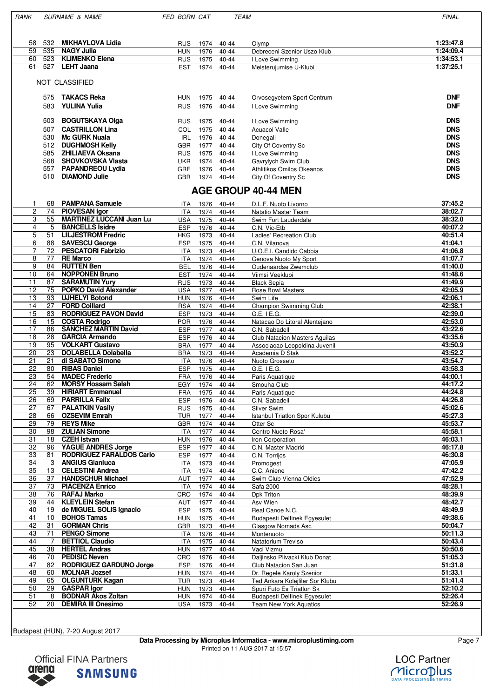| RANK                  |            | <b>SURNAME &amp; NAME</b>                                    | FED BORN CAT             |              |                    | <b>TEAM</b>                                             | <b>FINAL</b>             |  |
|-----------------------|------------|--------------------------------------------------------------|--------------------------|--------------|--------------------|---------------------------------------------------------|--------------------------|--|
|                       |            |                                                              |                          |              |                    |                                                         |                          |  |
|                       |            |                                                              |                          |              |                    |                                                         |                          |  |
| 58<br>59              | 532<br>535 | <b>MIKHAYLOVA Lidia</b><br><b>NAGY Julia</b>                 | RUS<br><b>HUN</b>        | 1974<br>1976 | 40-44<br>40-44     | Olymp<br>Debreceni Szenior Uszo Klub                    | 1:23:47.8<br>1:24:09.4   |  |
| 60                    | 523        | <b>KLIMENKO Elena</b>                                        | <b>RUS</b>               | 1975         | 40-44              | I Love Swimming                                         | 1:34:53.1                |  |
| 61                    | 527        | <b>LEHT Jaana</b>                                            | <b>EST</b>               | 1974         | $40 - 44$          | Meisterujumise U-Klubi                                  | 1:37:25.1                |  |
|                       |            |                                                              |                          |              |                    |                                                         |                          |  |
|                       |            | <b>NOT CLASSIFIED</b>                                        |                          |              |                    |                                                         |                          |  |
|                       |            |                                                              |                          |              |                    |                                                         |                          |  |
|                       | 575<br>583 | <b>TAKACS Reka</b><br><b>YULINA Yulia</b>                    | HUN                      | 1975         | 40-44              | Orvosegyetem Sport Centrum                              | <b>DNF</b><br><b>DNF</b> |  |
|                       |            |                                                              | <b>RUS</b>               | 1976         | 40-44              | I Love Swimming                                         |                          |  |
|                       | 503        | <b>BOGUTSKAYA Olga</b>                                       | <b>RUS</b>               | 1975         | 40-44              | I Love Swimming                                         | <b>DNS</b>               |  |
|                       | 507        | <b>CASTRILLON Lina</b>                                       | COL.                     | 1975         | 40-44              | <b>Acuacol Valle</b>                                    | <b>DNS</b>               |  |
|                       | 530        | <b>Mc GURK Nuala</b>                                         | IRL                      | 1976         | 40-44              | Donegall                                                | <b>DNS</b>               |  |
|                       | 512        | <b>DUGHMOSH Kelly</b>                                        | <b>GBR</b>               | 1977         | 40-44              | City Of Coventry Sc                                     | <b>DNS</b>               |  |
|                       | 585        | <b>ZHILIAEVA Oksana</b>                                      | <b>RUS</b>               | 1975         | 40-44              | I Love Swimming                                         | <b>DNS</b>               |  |
|                       | 568<br>557 | <b>SHOVKOVSKA Vlasta</b><br><b>PAPANDREOU Lydia</b>          | <b>UKR</b><br><b>GRE</b> | 1974<br>1976 | 40-44<br>$40 - 44$ | Gavrylych Swim Club<br>Athlitikos Omilos Okeanos        | <b>DNS</b><br><b>DNS</b> |  |
|                       | 510        | <b>DIAMOND Julie</b>                                         | <b>GBR</b>               | 1974         | 40-44              | City Of Coventry Sc                                     | <b>DNS</b>               |  |
|                       |            |                                                              |                          |              |                    |                                                         |                          |  |
|                       |            |                                                              |                          |              |                    | <b>AGE GROUP 40-44 MEN</b>                              |                          |  |
| -1                    | 68         | <b>PAMPANA Samuele</b>                                       | ITA                      | 1976         | 40-44              | D.L.F. Nuoto Livorno                                    | 37:45.2                  |  |
| $\overline{c}$        | 74         | <b>PIOVESAN Igor</b>                                         | ITA                      | 1974         | 40-44              | Natatio Master Team                                     | 38:02.7                  |  |
| 3                     | 55<br>5    | <b>MARTINEZ LUCCANI Juan Lu</b><br><b>BANCELLS Isidre</b>    | USA                      | 1975         | 40-44              | Swim Fort Lauderdale                                    | 38:32.0<br>40:07.2       |  |
| 4<br>5                | 51         | <b>LILJESTROM Fredric</b>                                    | <b>ESP</b><br>HKG        | 1976<br>1973 | 40-44<br>40-44     | C.N. Vic-Etb<br>Ladies' Recreation Club                 | 40:51.4                  |  |
| 6                     | 88         | <b>SAVESCU George</b>                                        | <b>ESP</b>               | 1975         | 40-44              | C.N. Vilanova                                           | 41:04.1                  |  |
| $\overline{7}$        | 72         | <b>PESCATORI Fabrizio</b>                                    | <b>ITA</b>               | 1973         | 40-44              | U.O.E.I. Candido Cabbia                                 | 41:06.8                  |  |
| 8                     | 77         | <b>RE Marco</b>                                              | <b>ITA</b>               | 1974         | 40-44              | Genova Nuoto My Sport                                   | 41:07.7                  |  |
| 9                     | 84         | <b>RUTTEN Ben</b>                                            | <b>BEL</b>               | 1976         | 40-44              | Oudenaardse Zwemclub                                    | 41:40.0                  |  |
| 10                    | 64         | <b>NOPPONEN Bruno</b>                                        | <b>EST</b>               | 1974         | 40-44              | Viimsi Veeklubi                                         | 41:48.6                  |  |
| 11<br>12              | 87<br>75   | <b>SARAMUTIN Yury</b><br><b>POPKO David Alexander</b>        | <b>RUS</b><br><b>USA</b> | 1973<br>1977 | 40-44<br>40-44     | <b>Black Sepia</b><br><b>Rose Bowl Masters</b>          | 41:49.9<br>42:05.9       |  |
| $\overline{13}$       | 93         | <b>UJHELYI Botond</b>                                        | <b>HUN</b>               | 1976         | 40-44              | Swim Life                                               | 42:06.1                  |  |
| 14                    | 27         | <b>FORD Coillard</b>                                         | RSA                      | 1974         | 40-44              | Champion Swimming Club                                  | 42:38.1                  |  |
| 15                    | 83         | <b>RODRIGUEZ PAVON David</b>                                 | <b>ESP</b>               | 1973         | 40-44              | $G.E.$ I $E.G.$                                         | 42:39.0                  |  |
| 16                    | 15         | <b>COSTA Rodrigo</b>                                         | POR.                     | 1976         | 40-44              | Natacao Do Litoral Alentejano                           | 42:53.0                  |  |
| 17                    | 86         | <b>SANCHEZ MARTIN David</b>                                  | <b>ESP</b>               | 1977         | 40-44              | C.N. Sabadell                                           | 43:22.6                  |  |
| 18<br>19              | 28<br>95   | <b>GARCIA Armando</b><br><b>VOLKART Gustavo</b>              | <b>ESP</b>               | 1976         | 40-44              | Club Natacion Masters Aguilas                           | 43:35.6<br>43:50.9       |  |
| $\overline{20}$       | 23         | <b>DOLABELLA Dolabella</b>                                   | <b>BRA</b><br><b>BRA</b> | 1977<br>1973 | 40-44<br>40-44     | Associacao Leopoldina Juvenil<br>Academia D Stak        | 43:52.2                  |  |
| 21                    | 21         | di SABATO Simone                                             | <b>ITA</b>               | 1976         | 40-44              | Nuoto Grosseto                                          | 43:54.7                  |  |
| 22                    | 80         | <b>RIBAS Daniel</b>                                          | <b>ESP</b>               | 1975         | 40-44              | $G.E.$ I $E.G.$                                         | 43:58.3                  |  |
| 23                    | 54         | <b>MADEC Frederic</b>                                        | <b>FRA</b>               | 1976         | $40 - 44$          | Paris Aquatique                                         | 44:00.1                  |  |
| $\overline{24}$       | 62         | <b>MORSY Hossam Salah</b>                                    | EGY                      | 1974         | $40 - 44$          | Smouha Club                                             | 44:17.2                  |  |
| 25                    | 39<br>69   | <b>HIRIART Emmanuel</b><br><b>PARRILLA Felix</b>             | FRA                      | 1975         | 40-44              | Paris Aquatique<br>C.N. Sabadell                        | 44:24.8<br>44:26.8       |  |
| 26<br>27              | 67         | <b>PALATKIN Vasily</b>                                       | <b>ESP</b><br><b>RUS</b> | 1976<br>1975 | 40-44<br>40-44     | Silver Swim                                             | 45:02.6                  |  |
| 28                    | 66         | <b>OZSEVIM Emrah</b>                                         | TUR                      | 1977         | 40-44              | Istanbul Triatlon Spor Kulubu                           | 45:27.3                  |  |
| 29                    | 79         | <b>REYS Mike</b>                                             | <b>GBR</b>               | 1974         | 40-44              | Otter Sc                                                | 45:53.7                  |  |
| 30                    | 98         | <b>ZULIAN Simone</b>                                         | <b>ITA</b>               | 1977         | 40-44              | Centro Nuoto Rosa'                                      | 45:58.1                  |  |
| 31                    | 18         | <b>CZEH Istvan</b>                                           | HUN                      | 1976         | 40-44              | Iron Corporation                                        | 46:03.1                  |  |
| $\overline{32}$<br>33 | 96<br>81   | <b>YAGUE ANDRES Jorge</b><br><b>RODRIGUEZ FARALDOS Carlo</b> | <b>ESP</b><br><b>ESP</b> | 1977<br>1977 | 40-44<br>40-44     | C.N. Master Madrid<br>C.N. Torrijos                     | 46:17.8<br>46:30.8       |  |
| 34                    | 3          | <b>ANGIUS Gianluca</b>                                       | ITA                      | 1973         | 40-44              | Promogest                                               | 47:05.9                  |  |
| 35                    | 13         | <b>CELESTINI Andrea</b>                                      | ITA                      | 1974         | 40-44              | C.C. Aniene                                             | 47:42.2                  |  |
| 36                    | 37         | <b>HANDSCHUR Michael</b>                                     | AUT                      | 1977         | 40-44              | Swim Club Vienna Oldies                                 | 47:52.9                  |  |
| 37                    | 73         | <b>PIACENZA Enrico</b>                                       | ITA                      | 1974         | 40-44              | Safa 2000                                               | 48:28.1                  |  |
| 38                    | 76         | <b>RAFAJ Marko</b>                                           | CRO                      | 1974         | 40-44              | Dpk Triton                                              | 48:39.9                  |  |
| 39<br>40              | 44<br>19   | <b>KLEYLEIN Stefan</b><br>de MIGUEL SOLIS Ignacio            | AUT<br><b>ESP</b>        | 1977<br>1975 | 40-44<br>40-44     | Asv Wien<br>Real Canoe N.C.                             | 48:42.7<br>48:49.9       |  |
| 41                    | 10         | <b>BOHOS Tamas</b>                                           | <b>HUN</b>               | 1975         | 40-44              | <b>Budapesti Delfinek Egyesulet</b>                     | 49:38.6                  |  |
| 42                    | 31         | <b>GORMAN Chris</b>                                          | <b>GBR</b>               | 1973         | 40-44              | Glasgow Nomads Asc                                      | 50:04.7                  |  |
| 43                    | 71         | <b>PENGO Simone</b>                                          | <b>ITA</b>               | 1976         | 40-44              | Montenuoto                                              | 50:11.3                  |  |
| 44                    | 7          | <b>BETTIOL Claudio</b>                                       | ITA                      | 1975         | 40-44              | Natatorium Treviso                                      | 50:43.4                  |  |
| 45                    | 38         | <b>HERTEL Andras</b>                                         | <b>HUN</b>               | 1977         | 40-44              | Vaci Vizmu                                              | 50:50.6                  |  |
| 46<br>47              | 70<br>82   | <b>PEDISIC Neven</b><br><b>RODRIGUEZ GARDUNO Jorge</b>       | CRO<br><b>ESP</b>        | 1976<br>1976 | 40-44<br>40-44     | Daljinsko Plivacki Klub Donat<br>Club Natacion San Juan | 51:05.3<br>51:31.8       |  |
| 48                    | 60         | <b>MOLNAR Jozsef</b>                                         | <b>HUN</b>               | 1974         | 40-44              | Dr. Regele Karoly Szenior                               | 51:33.1                  |  |
| 49                    | 65         | <b>OLGUNTURK Kagan</b>                                       | <b>TUR</b>               | 1973         | 40-44              | Ted Ankara Kolejliler Sor Klubu                         | 51:41.4                  |  |
| 50                    | 29         | <b>GASPAR Igor</b>                                           | <b>HUN</b>               | 1973         | 40-44              | Spuri Futo Es Triatlon Sk                               | 52:10.2                  |  |
| 51                    | 8          | <b>BODNAR Akos Zoltan</b>                                    | <b>HUN</b>               | 1974         | 40-44              | <b>Budapesti Delfinek Egyesulet</b>                     | 52:26.4                  |  |
| 52                    | 20         | <b>DEMIRA III Onesimo</b>                                    | USA                      | 1973         | 40-44              | <b>Team New York Aquatics</b>                           | 52:26.9                  |  |
|                       |            |                                                              |                          |              |                    |                                                         |                          |  |

Budapest (HUN), 7-20 August 2017

**Data Processing by Microplus Informatica - www.microplustiming.com** Page 7 Printed on 11 AUG 2017 at 15:57